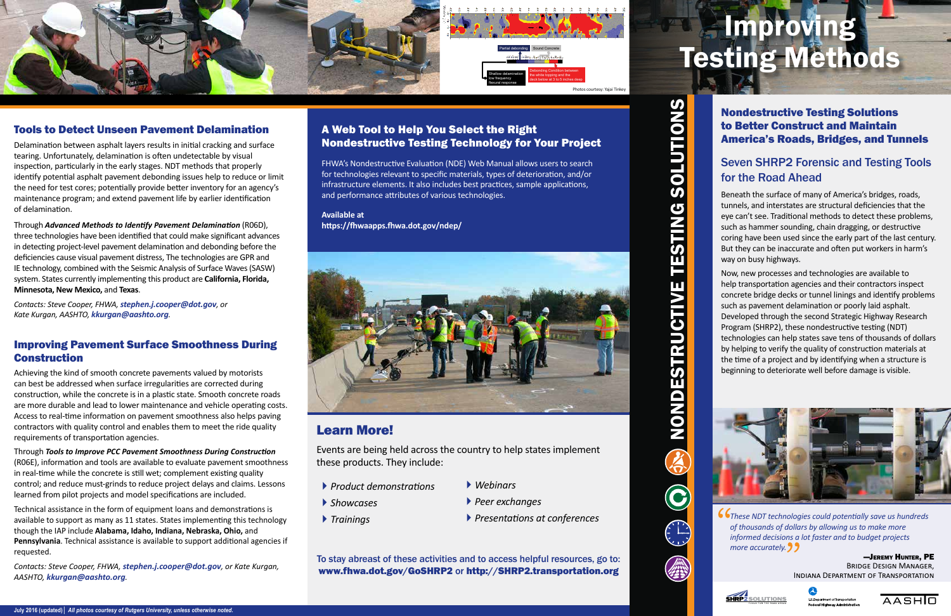*These NDT technologies could potentially save us hundreds of thousands of dollars by allowing us to make more informed decisions a lot faster and to budget projects more accurately.* 

> —Jeremy Hunter, PE Bridge Design Manager, Indiana Department of Transportation





AASHIO

#### Tools to Detect Unseen Pavement Delamination

Delamination between asphalt layers results in initial cracking and surface tearing. Unfortunately, delamination is often undetectable by visual inspection, particularly in the early stages. NDT methods that properly identify potential asphalt pavement debonding issues help to reduce or limit the need for test cores; potentially provide better inventory for an agency's maintenance program; and extend pavement life by earlier identification of delamination.

Through *Advanced Methods to Identify Pavement Delamination* (R06D), three technologies have been identified that could make significant advances in detecting project-level pavement delamination and debonding before the deficiencies cause visual pavement distress, The technologies are GPR and IE technology, combined with the Seismic Analysis of Surface Waves (SASW) system. States currently implementing this product are **California, Florida, Minnesota, New Mexico,** and **Texas**.

*Contacts: Steve Cooper, FHWA, stephen.j.cooper@dot.gov, or Kate Kurgan, AASHTO, kkurgan@aashto.org.* 

#### Improving Pavement Surface Smoothness During Construction

Achieving the kind of smooth concrete pavements valued by motorists can best be addressed when surface irregularities are corrected during construction, while the concrete is in a plastic state. Smooth concrete roads are more durable and lead to lower maintenance and vehicle operating costs. Access to real-time information on pavement smoothness also helps paving contractors with quality control and enables them to meet the ride quality requirements of transportation agencies.

Through *Tools to Improve PCC Pavement Smoothness During Construction* (R06E), information and tools are available to evaluate pavement smoothness in real-time while the concrete is still wet; complement existing quality control; and reduce must-grinds to reduce project delays and claims. Lessons learned from pilot projects and model specifications are included.



Technical assistance in the form of equipment loans and demonstrations is available to support as many as 11 states. States implementing this technology though the IAP include **Alabama, Idaho, Indiana, Nebraska, Ohio,** and **Pennsylvania**. Technical assistance is available to support additional agencies if requested.

*Contacts: Steve Cooper, FHWA, stephen.j.cooper@dot.gov, or Kate Kurgan, AASHTO, kkurgan@aashto.org.* 

Nondestructive Testing Solutions to Better Construct and Maintain America's Roads, Bridges, and Tunnels

### Seven SHRP2 Forensic and Testing Tools for the Road Ahead

Beneath the surface of many of America's bridges, roads, tunnels, and interstates are structural deficiencies that the eye can't see. Traditional methods to detect these problems, such as hammer sounding, chain dragging, or destructive coring have been used since the early part of the last century. But they can be inaccurate and often put workers in harm's way on busy highways.

Now, new processes and technologies are available to help transportation agencies and their contractors inspect concrete bridge decks or tunnel linings and identify problems such as pavement delamination or poorly laid asphalt. Developed through the second Strategic Highway Research Program (SHRP2), these nondestructive testing (NDT) technologies can help states save tens of thousands of dollars by helping to verify the quality of construction materials at the time of a project and by identifying when a structure is beginning to deteriorate well before damage is visible.



#### A Web Tool to Help You Select the Right Nondestructive Testing Technology for Your Project

FHWA's Nondestructive Evaluation (NDE) Web Manual allows users to search for technologies relevant to specific materials, types of deterioration, and/or infrastructure elements. It also includes best practices, sample applications, and performance attributes of various technologies.

**Available at https://fhwaapps.fhwa.dot.gov/ndep/**





### Learn More!

Events are being held across the country to help states implement these products. They include:

# Improving Testing Methods

To stay abreast of these activities and to access helpful resources, go to: www.fhwa.dot.gov/GoSHRP2 or http://SHRP2.transportation.org

` *Showcases*

` *Trainings* 

- ` *Product demonstrations*
- ` *Webinars*
	- ` *Peer exchanges*
	- ` *Presentations at conferences*